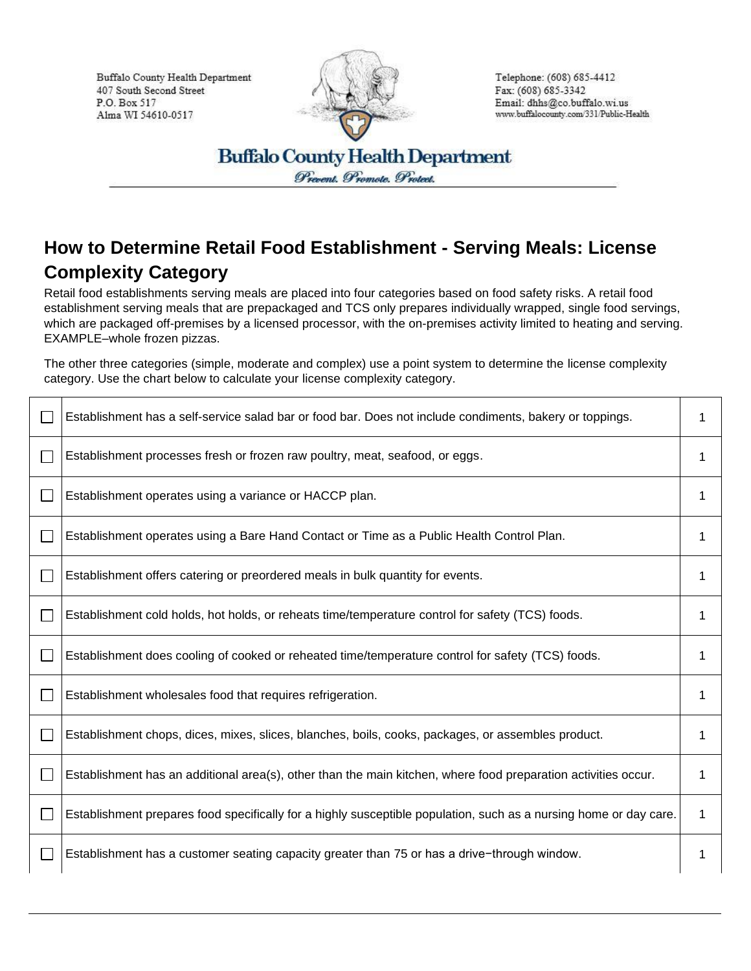Buffalo County Health Department 407 South Second Street P.O. Box 517 Alma WI 54610-0517



Telephone: (608) 685-4412 Fax: (608) 685-3342 Email: dhhs@co.buffalo.wi.us www.buffalocounty.com/331/Public-Health

**Buffalo County Health Department** Prevent. Promote. Protect.

## **How to Determine Retail Food Establishment - Serving Meals: License Complexity Category**

Retail food establishments serving meals are placed into four categories based on food safety risks. A retail food establishment serving meals that are prepackaged and TCS only prepares individually wrapped, single food servings, which are packaged off-premises by a licensed processor, with the on-premises activity limited to heating and serving. EXAMPLE–whole frozen pizzas.

The other three categories (simple, moderate and complex) use a point system to determine the license complexity category. Use the chart below to calculate your license complexity category.

|              | Establishment has a self-service salad bar or food bar. Does not include condiments, bakery or toppings.          | 1 |
|--------------|-------------------------------------------------------------------------------------------------------------------|---|
|              | Establishment processes fresh or frozen raw poultry, meat, seafood, or eggs.                                      | 1 |
|              | Establishment operates using a variance or HACCP plan.                                                            | 1 |
|              | Establishment operates using a Bare Hand Contact or Time as a Public Health Control Plan.                         | 1 |
|              | Establishment offers catering or preordered meals in bulk quantity for events.                                    | 1 |
| $\mathbf{L}$ | Establishment cold holds, hot holds, or reheats time/temperature control for safety (TCS) foods.                  | 1 |
| $\mathbf{L}$ | Establishment does cooling of cooked or reheated time/temperature control for safety (TCS) foods.                 | 1 |
| $\mathbf{L}$ | Establishment wholesales food that requires refrigeration.                                                        | 1 |
|              | Establishment chops, dices, mixes, slices, blanches, boils, cooks, packages, or assembles product.                | 1 |
|              | Establishment has an additional area(s), other than the main kitchen, where food preparation activities occur.    |   |
|              | Establishment prepares food specifically for a highly susceptible population, such as a nursing home or day care. | 1 |
| $\mathbf{L}$ | Establishment has a customer seating capacity greater than 75 or has a drive-through window.                      | 1 |